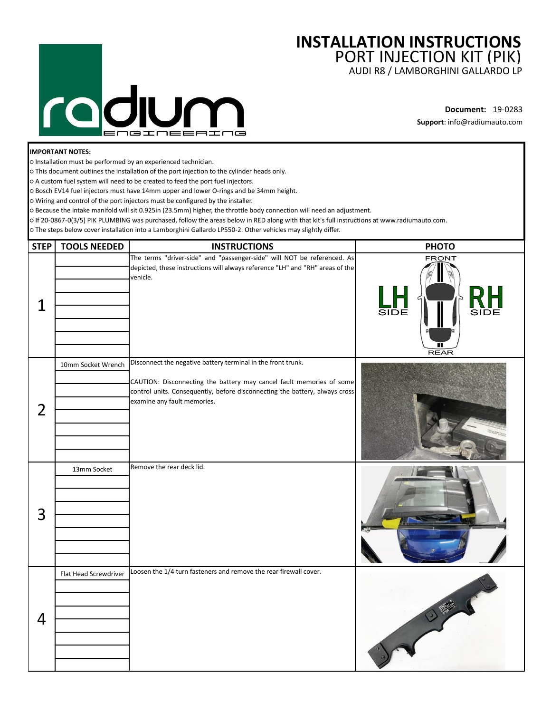## $\overline{\mathsf{C}}$ **N isines**

## **INSTALLATION INSTRUCTIONS** PORT INJECTION KIT (PIK)

AUDI R8 / LAMBORGHINI GALLARDO LP

**Document:** 19-0283 **Support**: info@radiumauto.com

## **IMPORTANT NOTES:**

○ Installation must be performed by an experienced technician.

○ This document outlines the installation of the port injection to the cylinder heads only.

○ A custom fuel system will need to be created to feed the port fuel injectors.

○ Bosch EV14 fuel injectors must have 14mm upper and lower O-rings and be 34mm height.

○ Wiring and control of the port injectors must be configured by the installer.

○ Because the intake manifold will sit 0.925in (23.5mm) higher, the throttle body connection will need an adjustment.

○ If 20-0867-0(3/5) PIK PLUMBING was purchased, follow the areas below in RED along with that kit's full instructions at www.radiumauto.com.

○ The steps below cover installation into a Lamborghini Gallardo LP550-2. Other vehicles may slightly differ.

| <b>STEP</b>    | <b>TOOLS NEEDED</b>   | <b>INSTRUCTIONS</b>                                                                                                                                                                                                                                | <b>PHOTO</b>                               |
|----------------|-----------------------|----------------------------------------------------------------------------------------------------------------------------------------------------------------------------------------------------------------------------------------------------|--------------------------------------------|
| 1              |                       | The terms "driver-side" and "passenger-side" will NOT be referenced. As<br>depicted, these instructions will always reference "LH" and "RH" areas of the<br>vehicle.                                                                               | <b>FRONT</b><br><b>SIDE</b><br><b>REAR</b> |
| $\overline{2}$ | 10mm Socket Wrench    | Disconnect the negative battery terminal in the front trunk.<br>CAUTION: Disconnecting the battery may cancel fault memories of some<br>control units. Consequently, before disconnecting the battery, always cross<br>examine any fault memories. |                                            |
| 3              | 13mm Socket           | Remove the rear deck lid.                                                                                                                                                                                                                          |                                            |
| 4              | Flat Head Screwdriver | Loosen the 1/4 turn fasteners and remove the rear firewall cover.                                                                                                                                                                                  |                                            |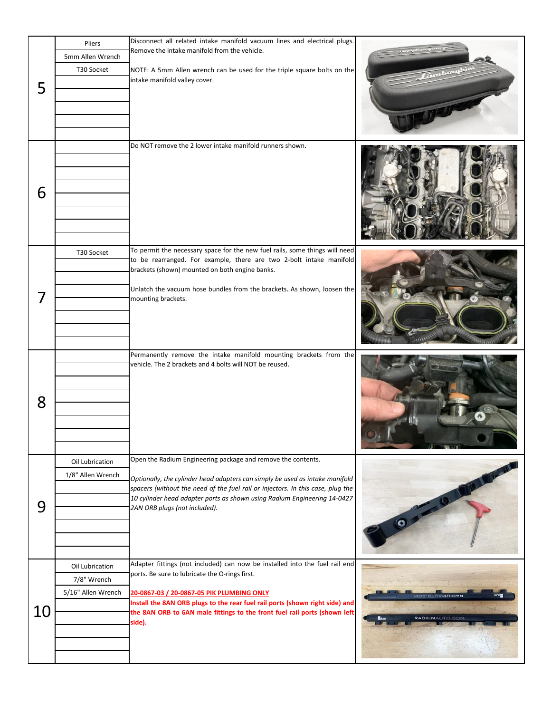|    | Pliers<br>5mm Allen Wrench                           | Disconnect all related intake manifold vacuum lines and electrical plugs.<br>Remove the intake manifold from the vehicle.                                                                                                                                                                             |                                        |
|----|------------------------------------------------------|-------------------------------------------------------------------------------------------------------------------------------------------------------------------------------------------------------------------------------------------------------------------------------------------------------|----------------------------------------|
| 5  | T30 Socket                                           | NOTE: A 5mm Allen wrench can be used for the triple square bolts on the<br>intake manifold valley cover.                                                                                                                                                                                              |                                        |
|    |                                                      |                                                                                                                                                                                                                                                                                                       |                                        |
| 6  |                                                      | Do NOT remove the 2 lower intake manifold runners shown.                                                                                                                                                                                                                                              |                                        |
| 7  | T30 Socket                                           | To permit the necessary space for the new fuel rails, some things will need<br>to be rearranged. For example, there are two 2-bolt intake manifold<br>brackets (shown) mounted on both engine banks.<br>Unlatch the vacuum hose bundles from the brackets. As shown, loosen the<br>mounting brackets. |                                        |
|    |                                                      |                                                                                                                                                                                                                                                                                                       |                                        |
| 8  |                                                      | Permanently remove the intake manifold mounting brackets from the<br>vehicle. The 2 brackets and 4 bolts will NOT be reused.                                                                                                                                                                          |                                        |
| 9  | Oil Lubrication<br>1/8" Allen Wrench                 | Open the Radium Engineering package and remove the contents.<br>Optionally, the cylinder head adapters can simply be used as intake manifold<br>spacers (without the need of the fuel rail or injectors. In this case, plug the                                                                       |                                        |
|    |                                                      | 10 cylinder head adapter ports as shown using Radium Engineering 14-0427<br>2AN ORB plugs (not included).                                                                                                                                                                                             | $0 - 0$                                |
|    |                                                      |                                                                                                                                                                                                                                                                                                       |                                        |
| 10 | Oil Lubrication<br>7/8" Wrench<br>5/16" Allen Wrench | Adapter fittings (not included) can now be installed into the fuel rail end<br>ports. Be sure to lubricate the O-rings first.<br>20-0867-03 / 20-0867-05 PIK PLUMBING ONLY                                                                                                                            |                                        |
|    |                                                      | Install the 8AN ORB plugs to the rear fuel rail ports (shown right side) and<br>the 8AN ORB to 6AN male fittings to the front fuel rail ports (shown left<br>side).                                                                                                                                   | MOS'OIUAMUIOA<br><b>RADIUMAUTO.COM</b> |
|    |                                                      |                                                                                                                                                                                                                                                                                                       |                                        |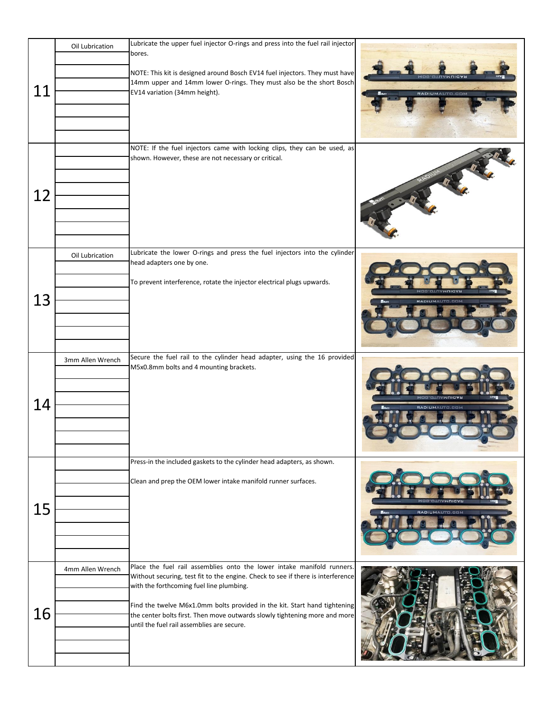|    | Oil Lubrication  | Lubricate the upper fuel injector O-rings and press into the fuel rail injector<br>bores.                                                                                                                                                                                                                                                                                                                      |                                        |
|----|------------------|----------------------------------------------------------------------------------------------------------------------------------------------------------------------------------------------------------------------------------------------------------------------------------------------------------------------------------------------------------------------------------------------------------------|----------------------------------------|
| 11 |                  | NOTE: This kit is designed around Bosch EV14 fuel injectors. They must have<br>14mm upper and 14mm lower O-rings. They must also be the short Bosch<br>EV14 variation (34mm height).                                                                                                                                                                                                                           | <b>MOD.OTUAMUIOA</b><br>RADIUMAUTO.COM |
| 12 |                  | NOTE: If the fuel injectors came with locking clips, they can be used, as<br>shown. However, these are not necessary or critical.                                                                                                                                                                                                                                                                              |                                        |
| 13 | Oil Lubrication  | Lubricate the lower O-rings and press the fuel injectors into the cylinder<br>head adapters one by one.<br>To prevent interference, rotate the injector electrical plugs upwards.                                                                                                                                                                                                                              | <b>RADIUMAUTO.COI</b>                  |
| 14 | 3mm Allen Wrench | Secure the fuel rail to the cylinder head adapter, using the 16 provided<br>M5x0.8mm bolts and 4 mounting brackets.                                                                                                                                                                                                                                                                                            | <b>PADILIMALITE EES</b>                |
| 15 |                  | Press-in the included gaskets to the cylinder head adapters, as shown.<br>Clean and prep the OEM lower intake manifold runner surfaces.                                                                                                                                                                                                                                                                        | RADIUMAUTO.COM                         |
| 16 | 4mm Allen Wrench | Place the fuel rail assemblies onto the lower intake manifold runners.<br>Without securing, test fit to the engine. Check to see if there is interference<br>with the forthcoming fuel line plumbing.<br>Find the twelve M6x1.0mm bolts provided in the kit. Start hand tightening<br>the center bolts first. Then move outwards slowly tightening more and more<br>until the fuel rail assemblies are secure. |                                        |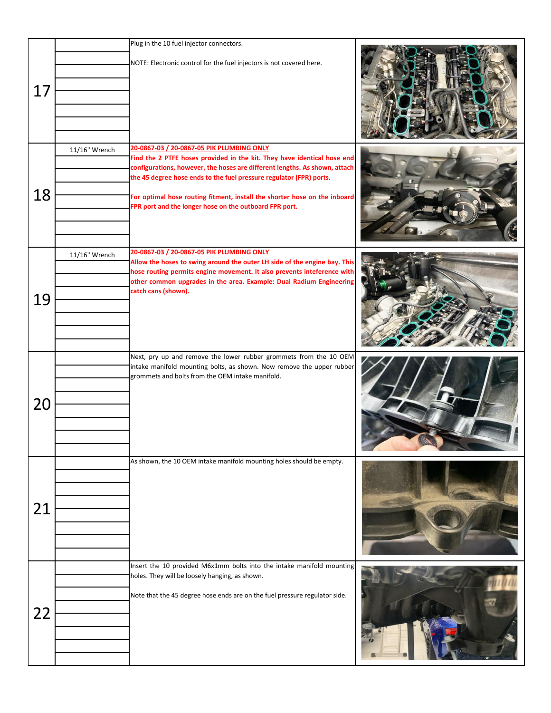|    |               | Plug in the 10 fuel injector connectors.                                                                                                                                                                                                                                                                                                                                                                         |  |
|----|---------------|------------------------------------------------------------------------------------------------------------------------------------------------------------------------------------------------------------------------------------------------------------------------------------------------------------------------------------------------------------------------------------------------------------------|--|
| 17 |               | NOTE: Electronic control for the fuel injectors is not covered here.                                                                                                                                                                                                                                                                                                                                             |  |
| 18 | 11/16" Wrench | 20-0867-03 / 20-0867-05 PIK PLUMBING ONLY<br>Find the 2 PTFE hoses provided in the kit. They have identical hose end<br>configurations, however, the hoses are different lengths. As shown, attach<br>the 45 degree hose ends to the fuel pressure regulator (FPR) ports.<br>For optimal hose routing fitment, install the shorter hose on the inboard<br>FPR port and the longer hose on the outboard FPR port. |  |
| 19 | 11/16" Wrench | 20-0867-03 / 20-0867-05 PIK PLUMBING ONLY<br>Allow the hoses to swing around the outer LH side of the engine bay. This<br>hose routing permits engine movement. It also prevents inteference with<br>other common upgrades in the area. Example: Dual Radium Engineering<br>catch cans (shown).                                                                                                                  |  |
| 20 |               | Next, pry up and remove the lower rubber grommets from the 10 OEM<br>intake manifold mounting bolts, as shown. Now remove the upper rubber<br>grommets and bolts from the OEM intake manifold.                                                                                                                                                                                                                   |  |
| 21 |               | As shown, the 10 OEM intake manifold mounting holes should be empty.                                                                                                                                                                                                                                                                                                                                             |  |
| 22 |               | Insert the 10 provided M6x1mm bolts into the intake manifold mounting<br>holes. They will be loosely hanging, as shown.<br>Note that the 45 degree hose ends are on the fuel pressure regulator side.                                                                                                                                                                                                            |  |